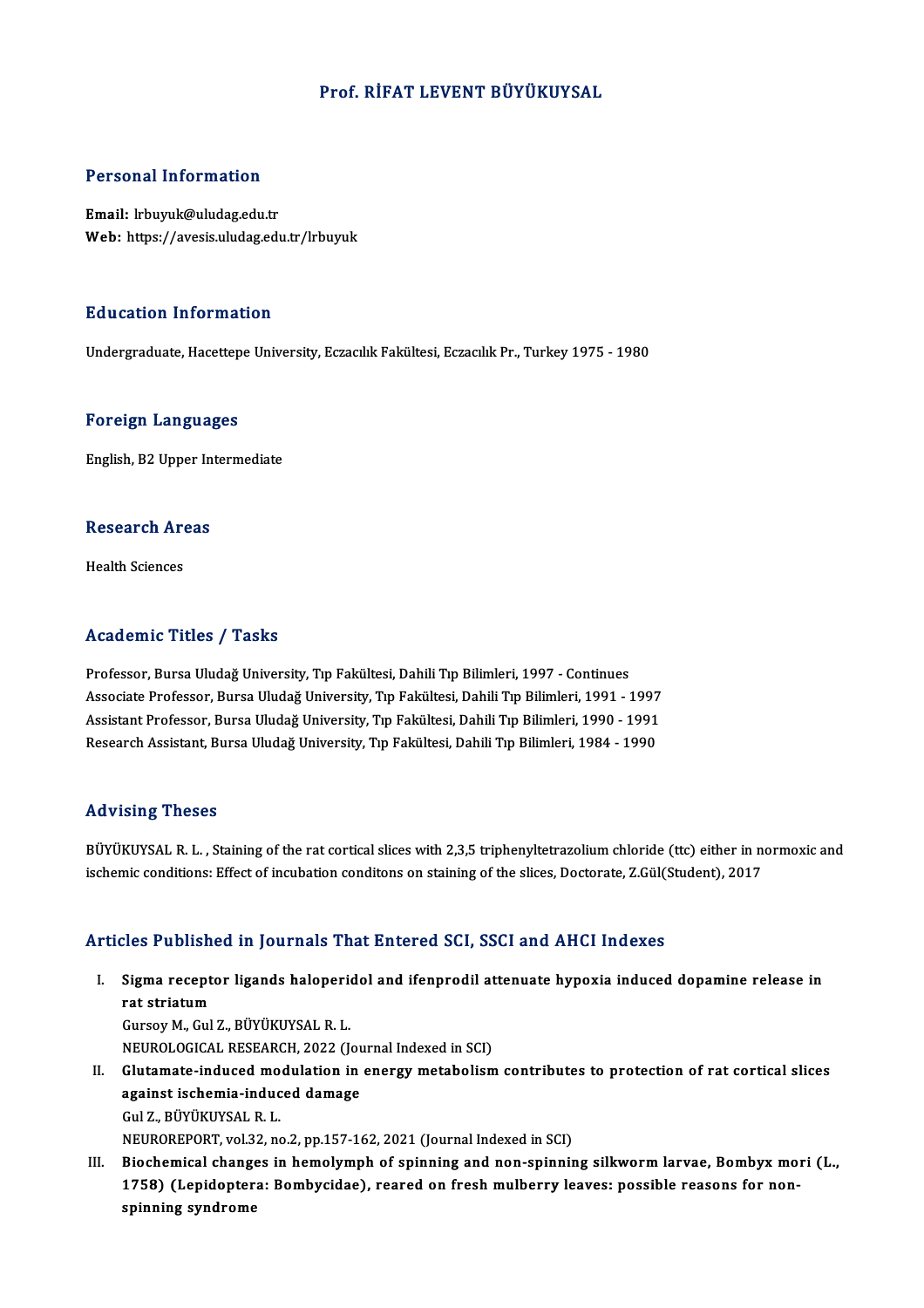### Prof. RİFAT LEVENT BÜYÜKUYSAL

#### Personal Information

Email: lrbuyuk@uludag.edu.tr Web: https://avesis.uludag.edu.tr/lrbuyuk

#### Education Information

Undergraduate, Hacettepe University, Eczacılık Fakültesi, Eczacılık Pr., Turkey 1975 - 1980

#### Foreign Languages

English,B2Upper Intermediate

### engusn, B2 Opper in<br>Research Areas R<mark>esearch Ar</mark><br>Health Sciences

## Academic Titles / Tasks

Academic Titles / Tasks<br>Professor, Bursa Uludağ University, Tıp Fakültesi, Dahili Tıp Bilimleri, 1997 - Continues<br>Assesiste Brofessor, Bursa Uludağ University, Tıp Fakültesi, Dahili Tıp Bilimleri, 1991 - 1 -<br>Professor, Bursa Uludağ University, Tıp Fakültesi, Dahili Tıp Bilimleri, 1997 - Continues<br>Associate Professor, Bursa Uludağ University, Tıp Fakültesi, Dahili Tıp Bilimleri, 1991 - 1997<br>Assistant Professor, Bursa Uludağ U Associate Professor, Bursa Uludağ University, Tıp Fakültesi, Dahili Tıp Bilimleri, 1991 - 1997<br>Assistant Professor, Bursa Uludağ University, Tıp Fakültesi, Dahili Tıp Bilimleri, 1990 - 1991 Research Assistant, Bursa Uludağ University, Tıp Fakültesi, Dahili Tıp Bilimleri, 1984 - 1990

#### Advising Theses

BÜYÜKUYSAL R. L., Staining of the rat cortical slices with 2,3,5 triphenyltetrazolium chloride (ttc) either in normoxic and ischemic conditions: Effect of incubation conditons on staining of the slices, Doctorate, Z.Gül(Student), 2017

#### Articles Published in Journals That Entered SCI, SSCI and AHCI Indexes

I. Sigma receptor ligands haloperidol and ifenprodil attenuate hypoxia induced dopamine release in rat striatum<br>Sigma recept<br>rat striatum<br>Cursou M. Cul Sigma receptor ligands haloperi<br>rat striatum<br>Gursoy M., Gul Z., BÜYÜKUYSAL R. L.<br>NEUPOLOCICAL PESEAPCH 2022 (L rat striatum<br>Gursoy M., Gul Z., BÜYÜKUYSAL R. L.<br>NEUROLOGICAL RESEARCH, 2022 (Journal Indexed in SCI)<br>Clutamata induced medulation in energy metabolism Gursoy M., Gul Z., BÜYÜKUYSAL R. L.<br>NEUROLOGICAL RESEARCH, 2022 (Journal Indexed in SCI)<br>II. Glutamate-induced modulation in energy metabolism contributes to protection of rat cortical slices<br>againet ischemia induced demag

- NEUROLOGICAL RESEARCH, 2022 (Jou<br>Glutamate-induced modulation in<br>against ischemia-induced damage **Glutamate-induced mo<br>against ischemia-induc<br>Gul Z., BÜYÜKUYSAL R. L.<br>NEUPOPEPOPT, vol 32, ps** against ischemia-induced damage<br>Gul Z., BÜYÜKUYSAL R. L.<br>NEUROREPORT, vol.32, no.2, pp.157-162, 2021 (Journal Indexed in SCI) Gul Z., BÜYÜKUYSAL R. L.<br>NEUROREPORT, vol.32, no.2, pp.157-162, 2021 (Journal Indexed in SCI)<br>III. Biochemical changes in hemolymph of spinning and non-spinning silkworm larvae, Bombyx mori (L.,<br>1758) (Lonidontena: Bombygi
- NEUROREPORT, vol.32, no.2, pp.157-162, 2021 (Journal Indexed in SCI)<br>Biochemical changes in hemolymph of spinning and non-spinning silkworm larvae, Bombyx mo<br>1758) (Lepidoptera: Bombycidae), reared on fresh mulberry leaves Biochemical change<br>1758) (Lepidopter<br>spinning syndrome